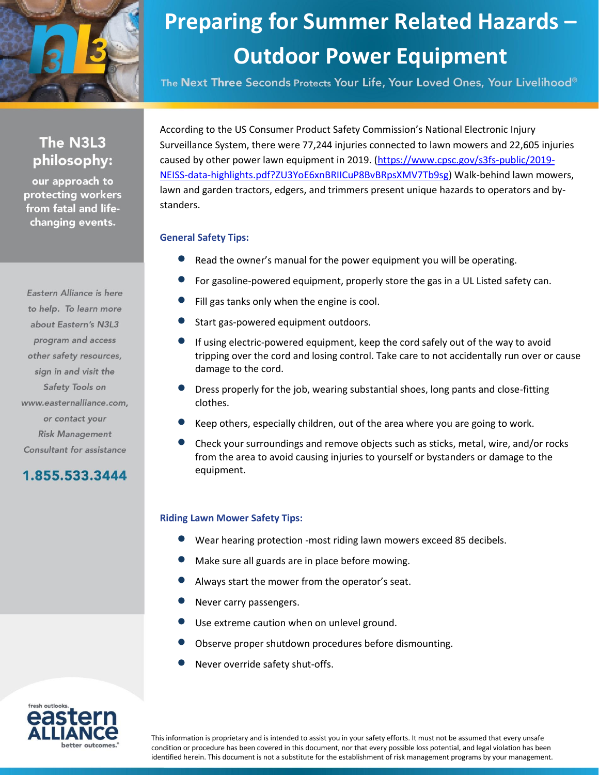

## **Preparing for Summer Related Hazards – Outdoor Power Equipment**

The Next Three Seconds Protects Your Life, Your Loved Ones, Your Livelihood®

## The N3L3 philosophy:

our approach to protecting workers from fatal and lifechanging events.

Eastern Alliance is here to help. To learn more about Eastern's N3L3 program and access other safety resources, sign in and visit the Safety Tools on www.easternalliance.com, or contact your **Risk Management** Consultant for assistance

1.855.533.3444

According to the US Consumer Product Safety Commission's National Electronic Injury Surveillance System, there were 77,244 injuries connected to lawn mowers and 22,605 injuries caused by other power lawn equipment in 2019. [\(https://www.cpsc.gov/s3fs-public/2019-](https://www.cpsc.gov/s3fs-public/2019-NEISS-data-highlights.pdf?ZU3YoE6xnBRIICuP8BvBRpsXMV7Tb9sg) [NEISS-data-highlights.pdf?ZU3YoE6xnBRIICuP8BvBRpsXMV7Tb9sg\)](https://www.cpsc.gov/s3fs-public/2019-NEISS-data-highlights.pdf?ZU3YoE6xnBRIICuP8BvBRpsXMV7Tb9sg) Walk-behind lawn mowers, lawn and garden tractors, edgers, and trimmers present unique hazards to operators and bystanders.

## **General Safety Tips:**

- Read the owner's manual for the power equipment you will be operating.
- For gasoline-powered equipment, properly store the gas in a UL Listed safety can.
- Fill gas tanks only when the engine is cool.
- Start gas-powered equipment outdoors.
- If using electric-powered equipment, keep the cord safely out of the way to avoid tripping over the cord and losing control. Take care to not accidentally run over or cause damage to the cord.
- Dress properly for the job, wearing substantial shoes, long pants and close-fitting clothes.
- Keep others, especially children, out of the area where you are going to work.
- Check your surroundings and remove objects such as sticks, metal, wire, and/or rocks from the area to avoid causing injuries to yourself or bystanders or damage to the equipment.

#### **Riding Lawn Mower Safety Tips:**

- Wear hearing protection -most riding lawn mowers exceed 85 decibels.
- Make sure all guards are in place before mowing.
- Always start the mower from the operator's seat.
- Never carry passengers.
- Use extreme caution when on unlevel ground.
- Observe proper shutdown procedures before dismounting.
- Never override safety shut-offs.



This information is proprietary and is intended to assist you in your safety efforts. It must not be assumed that every unsafe condition or procedure has been covered in this document, nor that every possible loss potential, and legal violation has been identified herein. This document is not a substitute for the establishment of risk management programs by your management.